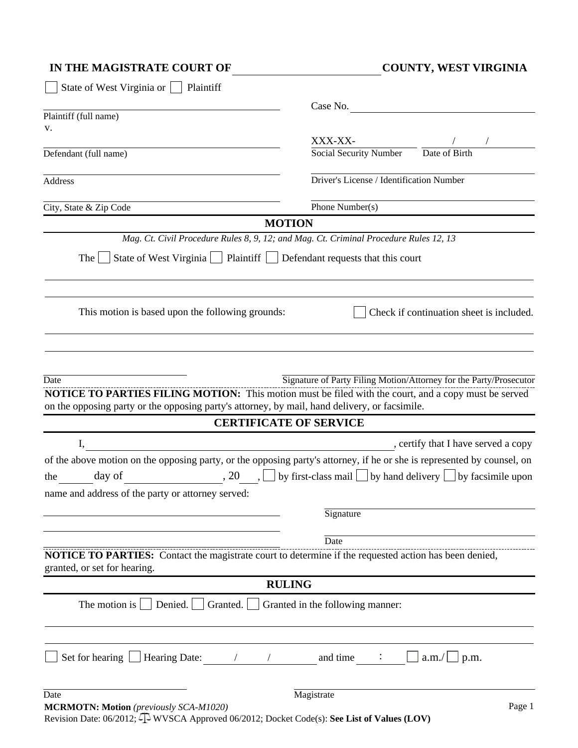| IN THE MAGISTRATE COURT OF | <b>COUNTY, WEST VIRGINIA</b> |
|----------------------------|------------------------------|
|                            |                              |

| State of West Virginia or  <br>Plaintiff                                                                                              |                                                                                                                                              |
|---------------------------------------------------------------------------------------------------------------------------------------|----------------------------------------------------------------------------------------------------------------------------------------------|
|                                                                                                                                       | Case No.                                                                                                                                     |
| Plaintiff (full name)                                                                                                                 |                                                                                                                                              |
| v.                                                                                                                                    | XXX-XX-                                                                                                                                      |
| Defendant (full name)                                                                                                                 | Social Security Number<br>Date of Birth                                                                                                      |
|                                                                                                                                       |                                                                                                                                              |
| Address                                                                                                                               | Driver's License / Identification Number                                                                                                     |
| City, State & Zip Code                                                                                                                | Phone Number(s)                                                                                                                              |
|                                                                                                                                       | <b>MOTION</b>                                                                                                                                |
|                                                                                                                                       | Mag. Ct. Civil Procedure Rules 8, 9, 12; and Mag. Ct. Criminal Procedure Rules 12, 13                                                        |
| State of West Virginia     Plaintiff     Defendant requests that this court<br>The                                                    |                                                                                                                                              |
| This motion is based upon the following grounds:                                                                                      | Check if continuation sheet is included.                                                                                                     |
| on the opposing party or the opposing party's attorney, by mail, hand delivery, or facsimile.                                         | <b>NOTICE TO PARTIES FILING MOTION:</b> This motion must be filed with the court, and a copy must be served<br><b>CERTIFICATE OF SERVICE</b> |
| I,                                                                                                                                    | , certify that I have served a copy                                                                                                          |
|                                                                                                                                       | of the above motion on the opposing party, or the opposing party's attorney, if he or she is represented by counsel, on                      |
| day of<br>the                                                                                                                         | , 20 $\Box$ by first-class mail $\Box$ by hand delivery $\Box$ by facsimile upon                                                             |
| name and address of the party or attorney served:                                                                                     |                                                                                                                                              |
|                                                                                                                                       | Signature                                                                                                                                    |
|                                                                                                                                       | Date                                                                                                                                         |
| NOTICE TO PARTIES: Contact the magistrate court to determine if the requested action has been denied,<br>granted, or set for hearing. |                                                                                                                                              |
|                                                                                                                                       | <b>RULING</b>                                                                                                                                |
| Denied. $\vert$<br>The motion is $\vert$<br>Granted. $\vert \vert$                                                                    | Granted in the following manner:                                                                                                             |
| Set for hearing I Hearing Date:                                                                                                       | and time<br>a.m./<br>$\perp$ p.m.                                                                                                            |
| Date                                                                                                                                  | Magistrate                                                                                                                                   |
| <b>MCRMOTN: Motion</b> (previously SCA-M1020)                                                                                         | Page 1                                                                                                                                       |

Revision Date: 06/2012; WVSCA Approved 06/2012; Docket Code(s): **See List of Values (LOV)**